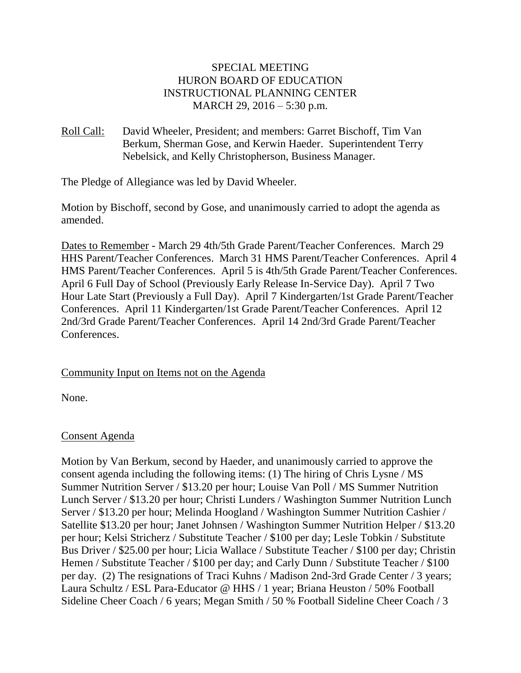# SPECIAL MEETING HURON BOARD OF EDUCATION INSTRUCTIONAL PLANNING CENTER MARCH 29, 2016 – 5:30 p.m.

Roll Call: David Wheeler, President; and members: Garret Bischoff, Tim Van Berkum, Sherman Gose, and Kerwin Haeder. Superintendent Terry Nebelsick, and Kelly Christopherson, Business Manager.

The Pledge of Allegiance was led by David Wheeler.

Motion by Bischoff, second by Gose, and unanimously carried to adopt the agenda as amended.

Dates to Remember - March 29 4th/5th Grade Parent/Teacher Conferences. March 29 HHS Parent/Teacher Conferences. March 31 HMS Parent/Teacher Conferences. April 4 HMS Parent/Teacher Conferences. April 5 is 4th/5th Grade Parent/Teacher Conferences. April 6 Full Day of School (Previously Early Release In-Service Day). April 7 Two Hour Late Start (Previously a Full Day). April 7 Kindergarten/1st Grade Parent/Teacher Conferences. April 11 Kindergarten/1st Grade Parent/Teacher Conferences. April 12 2nd/3rd Grade Parent/Teacher Conferences. April 14 2nd/3rd Grade Parent/Teacher Conferences.

# Community Input on Items not on the Agenda

None.

# Consent Agenda

Motion by Van Berkum, second by Haeder, and unanimously carried to approve the consent agenda including the following items: (1) The hiring of Chris Lysne / MS Summer Nutrition Server / \$13.20 per hour; Louise Van Poll / MS Summer Nutrition Lunch Server / \$13.20 per hour; Christi Lunders / Washington Summer Nutrition Lunch Server / \$13.20 per hour; Melinda Hoogland / Washington Summer Nutrition Cashier / Satellite \$13.20 per hour; Janet Johnsen / Washington Summer Nutrition Helper / \$13.20 per hour; Kelsi Stricherz / Substitute Teacher / \$100 per day; Lesle Tobkin / Substitute Bus Driver / \$25.00 per hour; Licia Wallace / Substitute Teacher / \$100 per day; Christin Hemen / Substitute Teacher / \$100 per day; and Carly Dunn / Substitute Teacher / \$100 per day. (2) The resignations of Traci Kuhns / Madison 2nd-3rd Grade Center / 3 years; Laura Schultz / ESL Para-Educator @ HHS / 1 year; Briana Heuston / 50% Football Sideline Cheer Coach / 6 years; Megan Smith / 50 % Football Sideline Cheer Coach / 3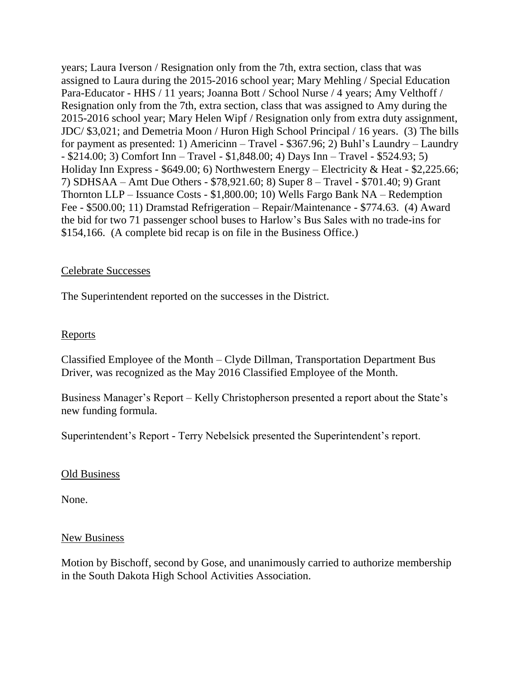years; Laura Iverson / Resignation only from the 7th, extra section, class that was assigned to Laura during the 2015-2016 school year; Mary Mehling / Special Education Para-Educator - HHS / 11 years; Joanna Bott / School Nurse / 4 years; Amy Velthoff / Resignation only from the 7th, extra section, class that was assigned to Amy during the 2015-2016 school year; Mary Helen Wipf / Resignation only from extra duty assignment, JDC/ \$3,021; and Demetria Moon / Huron High School Principal / 16 years. (3) The bills for payment as presented: 1) Americinn – Travel - \$367.96; 2) Buhl's Laundry – Laundry - \$214.00; 3) Comfort Inn – Travel - \$1,848.00; 4) Days Inn – Travel - \$524.93; 5) Holiday Inn Express - \$649.00; 6) Northwestern Energy – Electricity & Heat - \$2,225.66; 7) SDHSAA – Amt Due Others - \$78,921.60; 8) Super 8 – Travel - \$701.40; 9) Grant Thornton LLP – Issuance Costs - \$1,800.00; 10) Wells Fargo Bank NA – Redemption Fee - \$500.00; 11) Dramstad Refrigeration – Repair/Maintenance - \$774.63. (4) Award the bid for two 71 passenger school buses to Harlow's Bus Sales with no trade-ins for \$154,166. (A complete bid recap is on file in the Business Office.)

#### Celebrate Successes

The Superintendent reported on the successes in the District.

### Reports

Classified Employee of the Month – Clyde Dillman, Transportation Department Bus Driver, was recognized as the May 2016 Classified Employee of the Month.

Business Manager's Report – Kelly Christopherson presented a report about the State's new funding formula.

Superintendent's Report - Terry Nebelsick presented the Superintendent's report.

#### Old Business

None.

#### New Business

Motion by Bischoff, second by Gose, and unanimously carried to authorize membership in the South Dakota High School Activities Association.